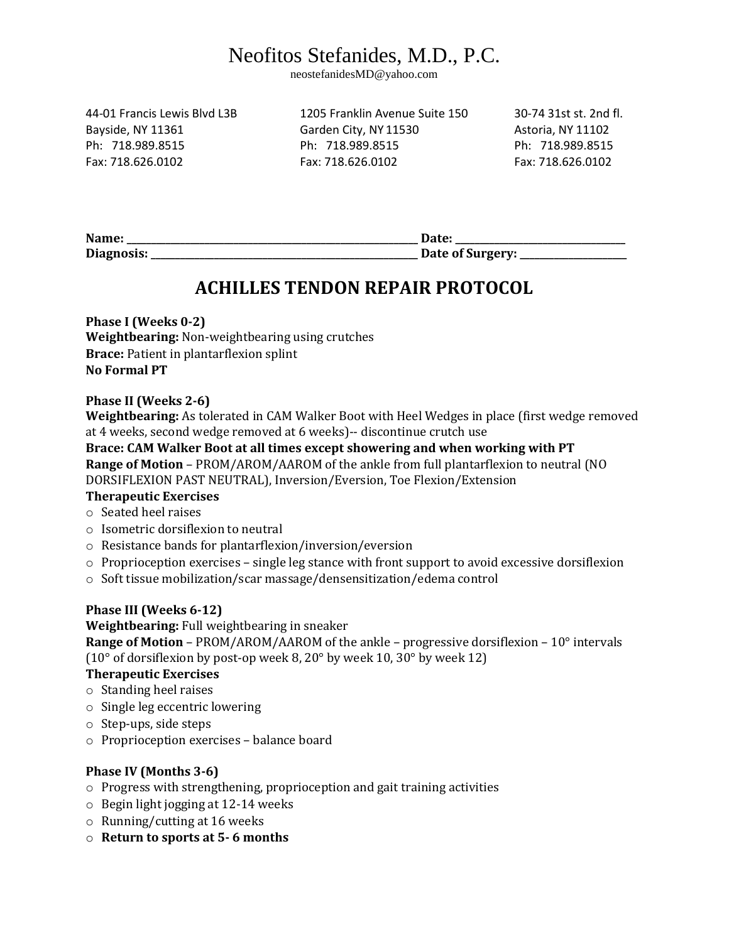# Neofitos Stefanides, M.D., P.C.

neostefanidesMD@yahoo.com

44-01 Francis Lewis Blvd L3B 1205 Franklin Avenue Suite 150 30-74 31st st. 2nd fl.

Bayside, NY 11361 Garden City, NY 11530 Astoria, NY 11102 Ph: 718.989.8515 Ph: 718.989.8515 Ph: 718.989.8515 Fax: 718.626.0102 Fax: 718.626.0102 Fax: 718.626.0102

| Name:      | Date             |
|------------|------------------|
| Diagnosis: | Date of Surgery: |

### **ACHILLES TENDON REPAIR PROTOCOL**

**Phase I (Weeks 0-2) Weightbearing:** Non-weightbearing using crutches **Brace:** Patient in plantarflexion splint **No Formal PT** 

#### **Phase II (Weeks 2-6)**

**Weightbearing:** As tolerated in CAM Walker Boot with Heel Wedges in place (first wedge removed at 4 weeks, second wedge removed at 6 weeks)-- discontinue crutch use

#### **Brace: CAM Walker Boot at all times except showering and when working with PT Range of Motion** – PROM/AROM/AAROM of the ankle from full plantarflexion to neutral (NO DORSIFLEXION PAST NEUTRAL), Inversion/Eversion, Toe Flexion/Extension

#### **Therapeutic Exercises**

- o Seated heel raises
- o Isometric dorsiflexion to neutral
- o Resistance bands for plantarflexion/inversion/eversion
- o Proprioception exercises single leg stance with front support to avoid excessive dorsiflexion
- o Soft tissue mobilization/scar massage/densensitization/edema control

#### **Phase III (Weeks 6-12)**

**Weightbearing:** Full weightbearing in sneaker

**Range of Motion** – PROM/AROM/AAROM of the ankle – progressive dorsiflexion – 10° intervals (10° of dorsiflexion by post-op week 8, 20° by week 10, 30° by week 12)

#### **Therapeutic Exercises**

- o Standing heel raises
- o Single leg eccentric lowering
- o Step-ups, side steps
- o Proprioception exercises balance board

#### **Phase IV (Months 3-6)**

- o Progress with strengthening, proprioception and gait training activities
- o Begin light jogging at 12-14 weeks
- o Running/cutting at 16 weeks
- o **Return to sports at 5- 6 months**